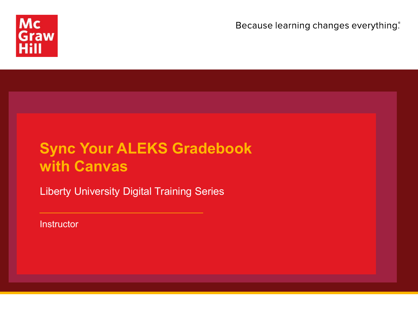

Because learning changes everything.

## **Sync Your ALEKS Gradebook with Canvas**

Liberty University Digital Training Series

**Instructor**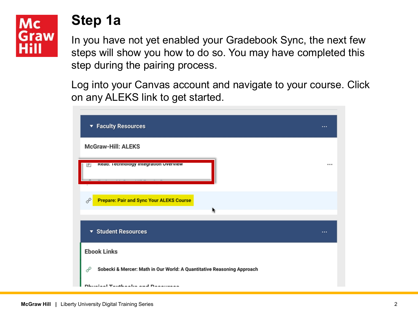# Mc Graw

#### **Step 1a**

In you have not yet enabled your Gradebook Sync, the next few steps will show you how to do so. You may have completed this step during the pairing process.

Log into your Canvas account and navigate to your course. Click on any ALEKS link to get started.

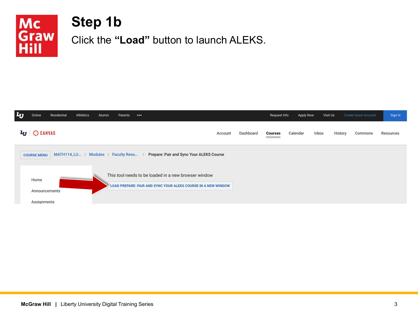

## **Step 1b**

Click the **"Load"** button to launch ALEKS.

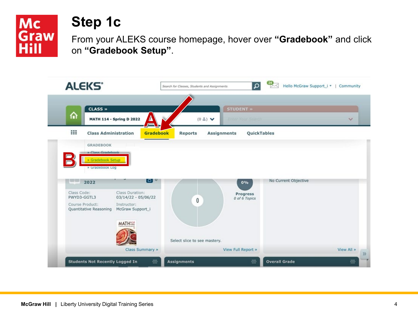

### **Step 1c**

From your ALEKS course homepage, hover over **"Gradebook"** and click on **"Gradebook Setup"**.

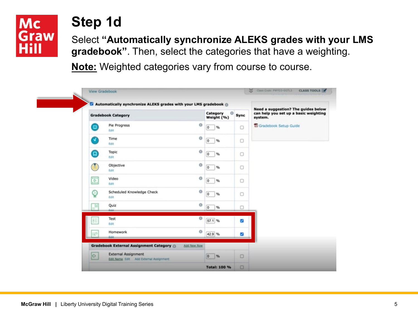#### **Mc** Graw Hill

### **Step 1d**

Select **"Automatically synchronize ALEKS grades with your LMS gradebook"**. Then, select the categories that have a weighting.

**Note:** Weighted categories vary from course to course.

|                          | <b>Gradebook Category</b>                                       | Category<br>o<br>Weight (%)             | Sync   | Need a suggestion? The guides below<br>can help you set up a basic weighting<br>system. |  |  |
|--------------------------|-----------------------------------------------------------------|-----------------------------------------|--------|-----------------------------------------------------------------------------------------|--|--|
| Θ                        | Pie Progress<br>Edit                                            | $^{\circ}$<br>$\circ$<br>%              | $\Box$ | Gradebook Setup Guide                                                                   |  |  |
| Ω                        | Time<br>Edit                                                    | $\circ$<br>$\overline{0}$<br>$\gamma_b$ | $\Box$ |                                                                                         |  |  |
| Θ                        | Topic<br>Edit                                                   | $\circ$<br>$\mathbf 0$<br>$\%$          | 0      |                                                                                         |  |  |
| <b>G</b>                 | Objective<br><b>Edit</b>                                        | $\circ$<br>$\circ$<br>%                 | о      |                                                                                         |  |  |
| $\overline{\mathcal{L}}$ | Video<br>Edit                                                   | $\circ$<br>$\overline{0}$<br>$\%$       | $\Box$ |                                                                                         |  |  |
| ହ                        | Scheduled Knowledge Check<br><b>Edit</b>                        | $\circ$<br>$\overline{0}$<br>$\%$       | $\Box$ |                                                                                         |  |  |
| 区                        | Quiz<br>Evia.                                                   | $^{\circ}$<br>$\overline{0}$<br>$\%$    | o      |                                                                                         |  |  |
| 狂                        | Test<br>Edit                                                    | $\circ$<br>57.1 %                       | Ø      |                                                                                         |  |  |
| D                        | Homework<br><b>Edit</b>                                         | $\circ$<br>42.9 %                       | V      |                                                                                         |  |  |
|                          | <b>Gradebook External Assignment Category ()</b><br>Add New Row |                                         |        |                                                                                         |  |  |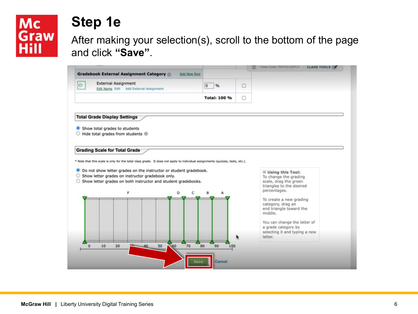# Mc<br>Graw<br>Hill

#### **Step 1e**

After making your selection(s), scroll to the bottom of the page and click **"Save"**.

|                                                                                                                                                                                                                                                                                                          |                     |        | Class Code: PWYD3-GGTL3                                 |  |
|----------------------------------------------------------------------------------------------------------------------------------------------------------------------------------------------------------------------------------------------------------------------------------------------------------|---------------------|--------|---------------------------------------------------------|--|
| <b>Gradebook External Assignment Category ()</b>                                                                                                                                                                                                                                                         | <b>Add New Row</b>  |        |                                                         |  |
| <b>External Assignment</b><br>$\Theta$<br>Edit Name Edit Add External Assignment                                                                                                                                                                                                                         | %<br>$\circ$        | $\Box$ |                                                         |  |
|                                                                                                                                                                                                                                                                                                          | <b>Total: 100 %</b> | 0      |                                                         |  |
| <b>Total Grade Display Settings</b>                                                                                                                                                                                                                                                                      |                     |        |                                                         |  |
| Show total grades to students                                                                                                                                                                                                                                                                            |                     |        |                                                         |  |
| Hide total grades from students <sup>®</sup>                                                                                                                                                                                                                                                             |                     |        |                                                         |  |
|                                                                                                                                                                                                                                                                                                          |                     |        |                                                         |  |
|                                                                                                                                                                                                                                                                                                          |                     |        |                                                         |  |
|                                                                                                                                                                                                                                                                                                          |                     |        |                                                         |  |
| Do not show letter grades on the instructor or student gradebook.                                                                                                                                                                                                                                        |                     |        | $=$ Using this Tool:                                    |  |
|                                                                                                                                                                                                                                                                                                          |                     |        | To change the grading<br>scale, drag the green          |  |
| <b>Grading Scale for Total Grade</b><br>* Note that this scale is only for the total class grade. It does not apply to individual assignments (quizzes, tests, etc.).<br>○ Show letter grades on instructor gradebook only.<br>○ Show letter grades on both instructor and student gradebooks.<br>F<br>D | C<br>B<br>А         |        | triangles to the desired<br>percentages.                |  |
|                                                                                                                                                                                                                                                                                                          |                     |        | To create a new grading                                 |  |
|                                                                                                                                                                                                                                                                                                          |                     |        | category, drag an<br>end triangle toward the<br>middle. |  |
|                                                                                                                                                                                                                                                                                                          |                     |        | You can change the letter of                            |  |
|                                                                                                                                                                                                                                                                                                          |                     |        | a grade category by<br>selecting it and typing a new    |  |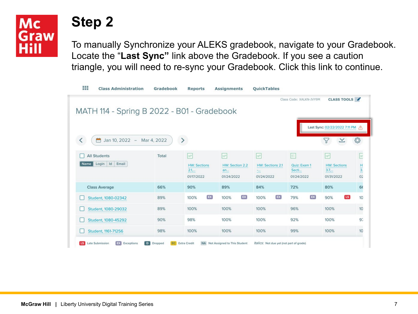#### **Mc** Graw Hill

### **Step 2**

To manually Synchronize your ALEKS gradebook, navigate to your Gradebook. Locate the "**Last Sync"** link above the Gradebook. If you see a caution triangle, you will need to re-sync your Gradebook. Click this link to continue.

| MATH 114 - Spring B 2022 - B01 - Gradebook       |             |                                                           |                                          |                                                              | Class Code: XALKN-JVY9M                  | <b>CLASS TOOLS</b>                                        |                                      |
|--------------------------------------------------|-------------|-----------------------------------------------------------|------------------------------------------|--------------------------------------------------------------|------------------------------------------|-----------------------------------------------------------|--------------------------------------|
| Jan 10, 2022 -<br>門<br>$\overline{\phantom{0}}$  | Mar 4, 2022 | $\,>\,$                                                   |                                          |                                                              |                                          | Last Sync: 02/22/2022 7:11 PM /                           | €                                    |
| <b>All Students</b><br>Name Login<br>Id<br>Email | Total       | $\Rightarrow$<br><b>HW: Sections</b><br>2.1<br>01/17/2022 | Þ<br>HW: Section 2.2<br>an<br>01/24/2022 | $\Rightarrow$<br><b>HW: Sections 2.1</b><br>2m<br>01/24/2022 | E<br>Quiz: Exam 1<br>Secti<br>01/24/2022 | $\Rightarrow$<br><b>HW: Sections</b><br>3.7<br>01/31/2022 | E<br>$\frac{1}{3}$<br>O <sub>z</sub> |
| <b>Class Average</b>                             | 66%         | 90%                                                       | 89%                                      | 84%                                                          | 72%                                      | 80%                                                       | 66                                   |
| Student, 1080-02342                              | 89%         | EX<br>100%                                                | EX<br>100%                               | EX<br>100%                                                   | EX<br>79%                                | $\overline{\text{LS}}$<br>90%                             | 10                                   |
| Student, 1080-29032                              | 89%         | 100%                                                      | 100%                                     | 100%                                                         | 96%                                      | 100%                                                      | 10                                   |
| Student, 1080-45292                              | 90%         | 98%                                                       | 100%                                     | 100%                                                         | 92%                                      | 100%                                                      | 97                                   |
| Student, 1161-71256                              | 98%         | 100%                                                      | 100%                                     | 100%                                                         | 99%                                      | 100%                                                      | 10                                   |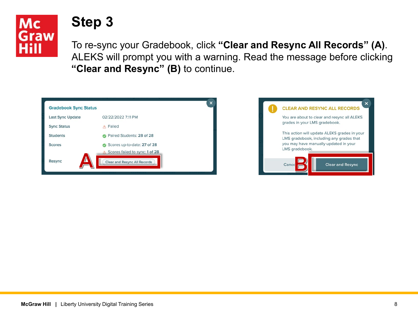

#### **Step 3**

To re-sync your Gradebook, click **"Clear and Resync All Records" (A)**. ALEKS will prompt you with a warning. Read the message before clicking **"Clear and Resync" (B)** to continue.

| <b>Gradebook Sync Status</b> | ×                                                                                      |
|------------------------------|----------------------------------------------------------------------------------------|
| <b>Last Sync Update</b>      | 02/22/2022 7:11 PM                                                                     |
| <b>Sync Status</b>           | Failed                                                                                 |
| <b>Students</b>              | Paired Students: 28 of 28                                                              |
| <b>Scores</b>                | Scores up-to-date: 27 of 28<br>$\omega$<br>Scores failed to sync: 1 of 28<br>$\Lambda$ |
| Δ<br>Resync                  | <b>Clear and Resync All Records</b>                                                    |

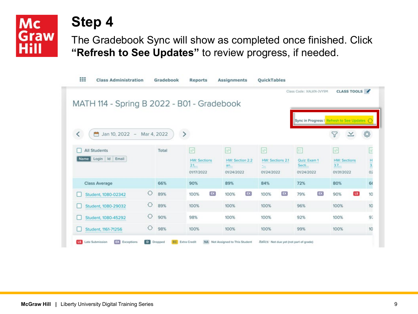# **Mc Graw**

#### **Step 4**

The Gradebook Sync will show as completed once finished. Click **"Refresh to See Updates"** to review progress, if needed.

| MATH 114 - Spring B 2022 - B01 - Gradebook              |            |       |                                                                  |                                                       |                                                                      | Class Code: XALKN-JVY9M                  | <b>CLASS TOOLS</b>                                         |                          |
|---------------------------------------------------------|------------|-------|------------------------------------------------------------------|-------------------------------------------------------|----------------------------------------------------------------------|------------------------------------------|------------------------------------------------------------|--------------------------|
|                                                         |            |       |                                                                  |                                                       |                                                                      |                                          | Sync in Progress   Refresh to See Updates                  |                          |
| K<br>Jan 10, 2022 - Mar 4, 2022                         |            |       | $\,>\,$                                                          |                                                       |                                                                      |                                          |                                                            |                          |
| <b>All Students</b><br>Login Id<br>Email<br><b>Name</b> |            | Total | $\overrightarrow{w}$<br><b>HW: Sections</b><br>2.1<br>01/17/2022 | $\mathbb{R}^n$<br>HW: Section 2.2<br>an<br>01/24/2022 | $\overline{\mathcal{D}}$<br>HW: Sections 2.1<br>$\sim$<br>01/24/2022 | E<br>Quiz: Exam 1<br>Secti<br>01/24/2022 | $\overline{v}$<br><b>HW: Sections</b><br>3.7<br>01/31/2022 | E<br>$\frac{1}{2}$<br>O2 |
| <b>Class Average</b>                                    |            | 66%   | 90%                                                              | 89%                                                   | 84%                                                                  | 72%                                      | 80%                                                        | 66                       |
| Student, 1080-02342                                     | $\bigcirc$ | 89%   | EX<br>100%                                                       | EX<br>100%                                            | EX<br>100%                                                           | $\mathsf{EX}$<br>79%                     | <b>LS</b><br>90%                                           | 10                       |
| Student, 1080-29032                                     | ⊖          | 89%   | 100%                                                             | 100%                                                  | 100%                                                                 | 96%                                      | 100%                                                       | 10                       |
| Student, 1080-45292                                     | ⊖          | 90%   | 98%                                                              | 100%                                                  | 100%                                                                 | 92%                                      | 100%                                                       | 9 <sub>i</sub>           |
| Student, 1161-71256                                     | ⊖          | 98%   | 100%                                                             | 100%                                                  | 100%                                                                 | 99%                                      | 100%                                                       | 10                       |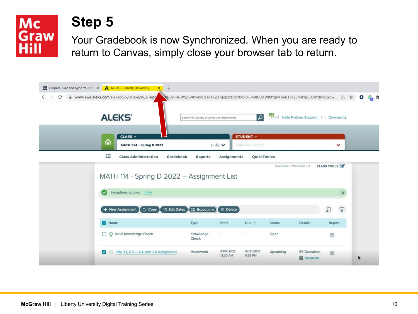

#### **Step 5**

Your Gradebook is now Synchronized. When you are ready to return to Canvas, simply close your browser tab to return.